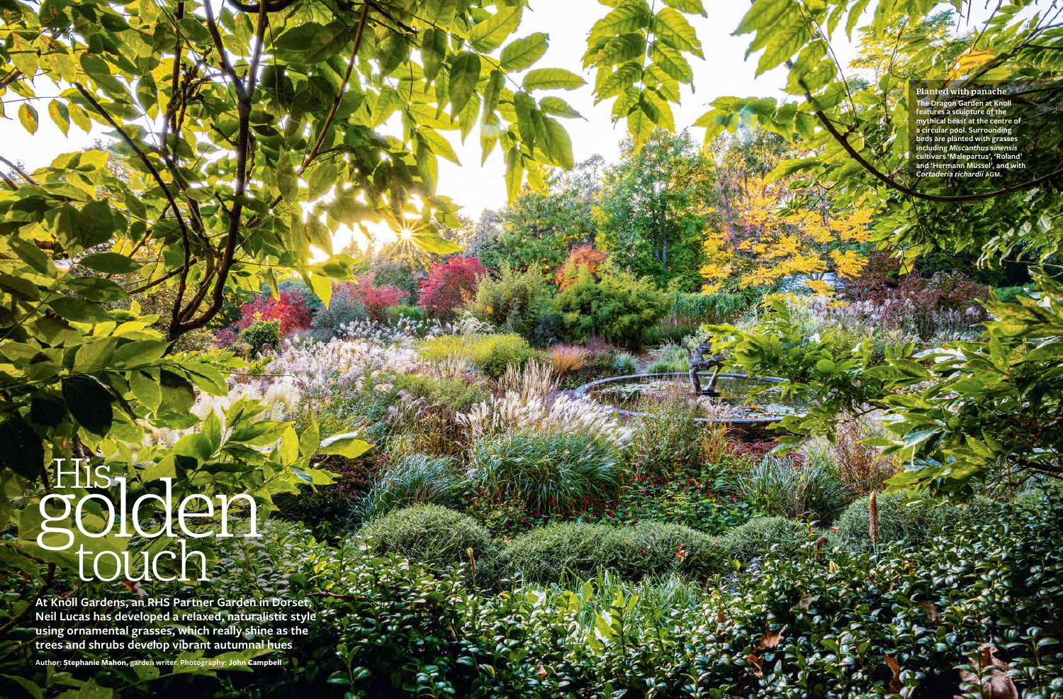# His gen touch

**At Knoll Gardens, an RHS Partner Garden in Dorset, Neil Lucas has developed a relaxed, naturalistic style using ornamental grasses, which really shine as the trees and shrubs develop vibrant autumnal hues** 

**Author: Stephanie Mahon, garden writer. Photography: John Campbell**

#### Planted with panache

**The Dragon Garden at Knoll features a sculpture of the mythical beast at the centre of a circular pool. Surrounding beds are planted with grasses including** *Miscanthus sinensis* **cultivars 'Malepartus', 'Roland' and 'Hermann Müssel', and with**  *Cortaderia richardii* agm **.**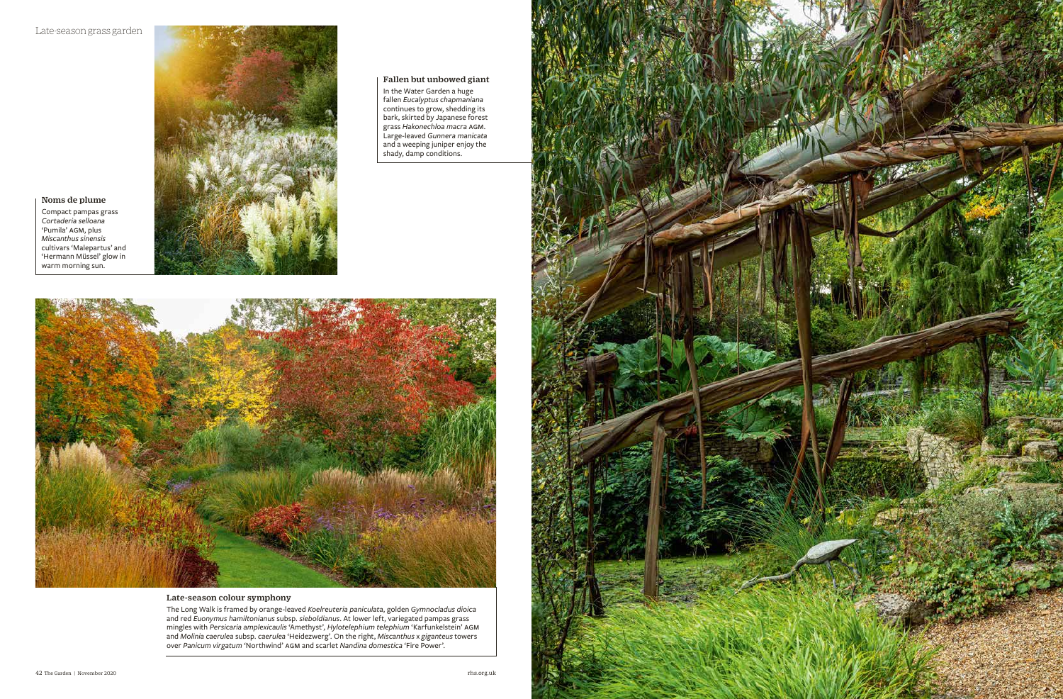

### Late-season colour symphony

The Long Walk is framed by orange-leaved *Koelreuteria paniculata*, golden *Gymnocladus dioica*  and red *Euonymus hamiltonianus* subsp. *sieboldianus*. At lower left, variegated pampas grass mingles with *Persicaria amplexicaulis* 'Amethyst', *Hylotelephium telephium* 'Karfunkelstein' agm and *Molinia caerulea* subsp. *caerulea* 'Heidezwerg'. On the right, *Miscanthus* x *giganteus* towers over *Panicum virgatum* 'Northwind' agm and scarlet *Nandina domestica* 'Fire Power'.



Noms de plume Compact pampas grass *Cortaderia selloana* 'Pumila' AGM, plus *Miscanthus sinensis*  cultivars 'Malepartus' and 'Hermann Müssel' glow in warm morning sun.